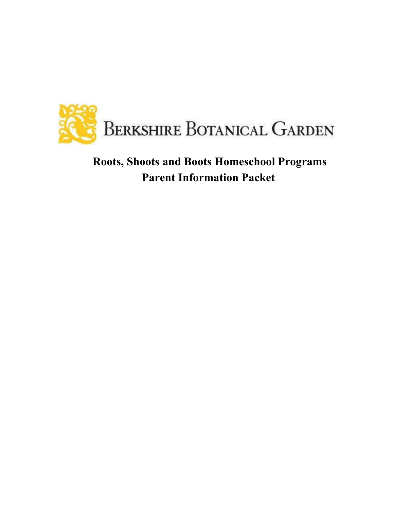

# **Roots, Shoots and Boots Homeschool Programs Parent Information Packet**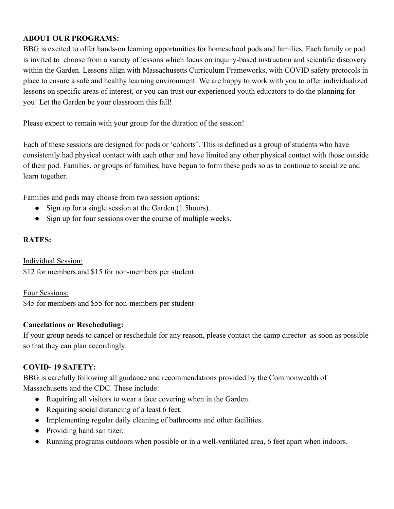### **ABOUT OUR PROGRAMS:**

BBG is excited to offer hands-on learning opportunities for homeschool pods and families. Each family or pod is invited to choose from a variety of lessons which focus on inquiry-based instruction and scientific discovery within the Garden. Lessons align with Massachusetts Curriculum Frameworks, with COVID safety protocols in place to ensure a safe and healthy learning environment. We are happy to work with you to offer individualized lessons on specific areas of interest, or you can trust our experienced youth educators to do the planning for you! Let the Garden be your classroom this fall!

Please expect to remain with your group for the duration of the session!

Each of these sessions are designed for pods or 'cohorts'. This is defined as a group of students who have consistently had physical contact with each other and have limited any other physical contact with those outside of their pod. Families, or groups of families, have begun to form these pods so as to continue to socialize and learn together.

Families and pods may choose from two session options:

- Sign up for a single session at the Garden (1.5hours).
- Sign up for four sessions over the course of multiple weeks.

### **RATES:**

Individual Session: \$12 for members and \$15 for non-members per student

Four Sessions: \$45 for members and \$55 for non-members per student

#### **Cancelations or Rescheduling:**

If your group needs to cancel or reschedule for any reason, please contact the camp director as soon as possible so that they can plan accordingly.

## **COVID- 19 SAFETY:**

BBG is carefully following all guidance and recommendations provided by the Commonwealth of Massachusetts and the CDC. These include:

- Requiring all visitors to wear a face covering when in the Garden.
- Requiring social distancing of a least 6 feet.
- Implementing regular daily cleaning of bathrooms and other facilities.
- Providing hand sanitizer.
- Running programs outdoors when possible or in a well-ventilated area, 6 feet apart when indoors.